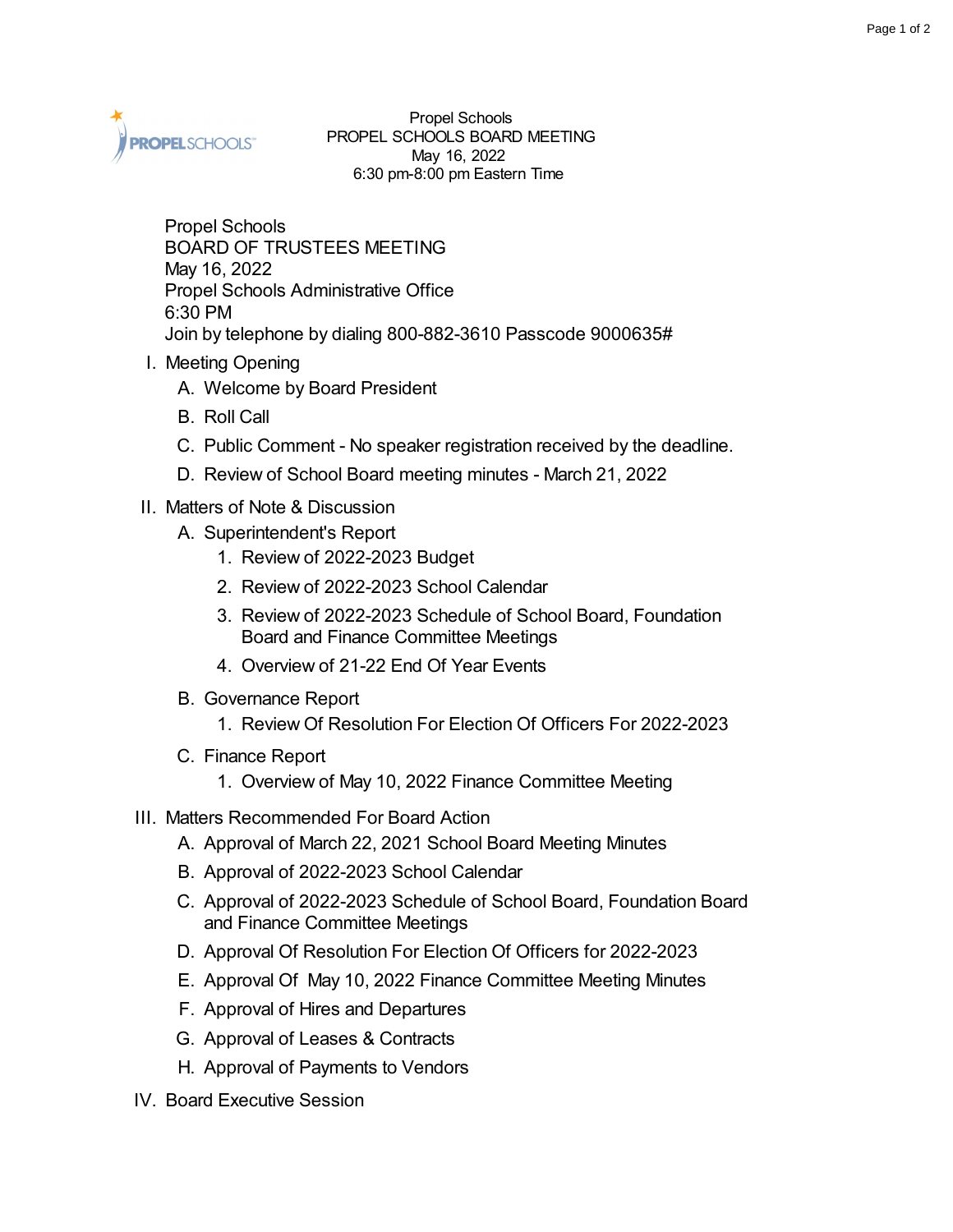

Propel Schools PROPEL SCHOOLS BOARD MEETING May 16, 2022 6:30 pm-8:00 pm Eastern Time

Propel Schools BOARD OF TRUSTEES MEETING May 16, 2022 Propel Schools Administrative Office 6:30 PM Join by telephone by dialing 800-882-3610 Passcode 9000635#

- I. Meeting Opening
	- A. Welcome by Board President
	- B. Roll Call
	- C. Public Comment No speaker registration received by the deadline.
	- D. Review of School Board meeting minutes March 21, 2022
- II. Matters of Note & Discussion
	- A. Superintendent's Report
		- 1. Review of 2022-2023 Budget
		- 2. Review of 2022-2023 School Calendar
		- 3. Review of 2022-2023 Schedule of School Board, Foundation Board and Finance Committee Meetings
		- 4. Overview of 21-22 End Of Year Events
	- B. Governance Report
		- 1. Review Of Resolution For Election Of Officers For 2022-2023
	- C. Finance Report
		- 1. Overview of May 10, 2022 Finance Committee Meeting
- III. Matters Recommended For Board Action
	- A. Approval of March 22, 2021 School Board Meeting Minutes
	- B. Approval of 2022-2023 School Calendar
	- C. Approval of 2022-2023 Schedule of School Board, Foundation Board and Finance Committee Meetings
	- D. Approval Of Resolution For Election Of Officers for 2022-2023
	- E. Approval Of May 10, 2022 Finance Committee Meeting Minutes
	- F. Approval of Hires and Departures
	- G. Approval of Leases & Contracts
	- H. Approval of Payments to Vendors
- IV. Board Executive Session